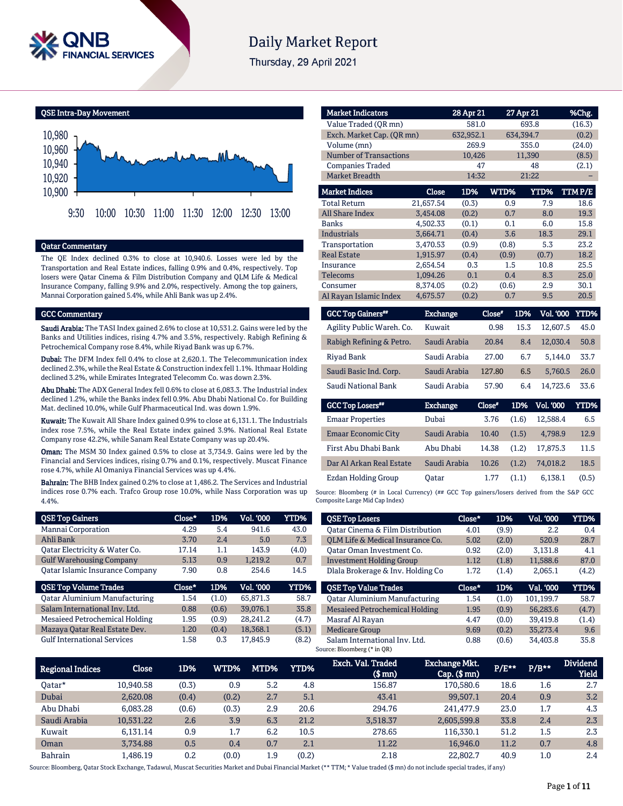

# **Daily Market Report**

Thursday, 29 April 2021

QSE Intra-Day Movement



## Qatar Commentary

The QE Index declined 0.3% to close at 10,940.6. Losses were led by the Transportation and Real Estate indices, falling 0.9% and 0.4%, respectively. Top losers were Qatar Cinema & Film Distribution Company and QLM Life & Medical Insurance Company, falling 9.9% and 2.0%, respectively. Among the top gainers, Mannai Corporation gained 5.4%, while Ahli Bank was up 2.4%.

### GCC Commentary

Saudi Arabia: The TASI Index gained 2.6% to close at 10,531.2. Gains were led by the Banks and Utilities indices, rising 4.7% and 3.5%, respectively. Rabigh Refining & Petrochemical Company rose 8.4%, while Riyad Bank was up 6.7%.

Dubai: The DFM Index fell 0.4% to close at 2,620.1. The Telecommunication index declined 2.3%, while the Real Estate & Construction index fell 1.1%. Ithmaar Holding declined 3.2%, while Emirates Integrated Telecomm Co. was down 2.3%.

Abu Dhabi: The ADX General Index fell 0.6% to close at 6,083.3. The Industrial index declined 1.2%, while the Banks index fell 0.9%. Abu Dhabi National Co. for Building Mat. declined 10.0%, while Gulf Pharmaceutical Ind. was down 1.9%.

Kuwait: The Kuwait All Share Index gained 0.9% to close at 6,131.1. The Industrials index rose 7.5%, while the Real Estate index gained 3.9%. National Real Estate Company rose 42.2%, while Sanam Real Estate Company was up 20.4%.

Oman: The MSM 30 Index gained 0.5% to close at 3,734.9. Gains were led by the Financial and Services indices, rising 0.7% and 0.1%, respectively. Muscat Finance rose 4.7%, while Al Omaniya Financial Services was up 4.4%.

Bahrain: The BHB Index gained 0.2% to close at 1,486.2. The Services and Industrial indices rose 0.7% each. Trafco Group rose 10.0%, while Nass Corporation was up 4.4%.

| <b>QSE Top Gainers</b>                 | Close* | 1D%   | Vol. 000         | YTD%  |
|----------------------------------------|--------|-------|------------------|-------|
| Mannai Corporation                     | 4.29   | 5.4   | 941.6            | 43.0  |
| Ahli Bank                              | 3.70   | 2.4   | 5.0              | 7.3   |
| Qatar Electricity & Water Co.          | 17.14  | 1.1   | 143.9            | (4.0) |
| <b>Gulf Warehousing Company</b>        | 5.13   | 0.9   | 1.219.2          | 0.7   |
| <b>Qatar Islamic Insurance Company</b> | 7.90   | 0.8   | 254.6            | 14.5  |
|                                        |        |       |                  |       |
| <b>QSE Top Volume Trades</b>           | Close* | 1D%   | <b>Vol. '000</b> | YTD%  |
| <b>Qatar Aluminium Manufacturing</b>   | 1.54   | (1.0) | 65.871.3         | 58.7  |
| Salam International Inv. Ltd.          | 0.88   | (0.6) | 39.076.1         | 35.8  |
| Mesaieed Petrochemical Holding         | 1.95   | (0.9) | 28.241.2         | (4.7) |
| Mazaya Qatar Real Estate Dev.          | 1.20   | (0.4) | 18,368.1         | (5.1) |

| <b>Market Indicators</b>      |              | 28 Apr 21 |       | 27 Apr 21   | %Chg.  |
|-------------------------------|--------------|-----------|-------|-------------|--------|
| Value Traded (OR mn)          |              | 581.0     |       | 693.8       | (16.3) |
| Exch. Market Cap. (QR mn)     |              | 632,952.1 |       | 634,394.7   | (0.2)  |
| Volume (mn)                   |              | 269.9     |       | 355.0       | (24.0) |
| <b>Number of Transactions</b> |              | 10,426    |       | 11,390      | (8.5)  |
| <b>Companies Traded</b>       |              | 47        |       | 48          | (2.1)  |
| <b>Market Breadth</b>         |              | 14:32     |       | 21:22       |        |
| <b>Market Indices</b>         | <b>Close</b> | 1D%       | WTD%  | <b>YTD%</b> | TTMP/E |
| <b>Total Return</b>           | 21,657.54    | (0.3)     | 0.9   | 7.9         | 18.6   |
| <b>All Share Index</b>        | 3.454.08     | (0.2)     | 0.7   | 8.0         | 19.3   |
| <b>Banks</b>                  | 4,502.33     | (0.1)     | 0.1   | 6.0         | 15.8   |
| <b>Industrials</b>            | 3,664.71     | (0.4)     | 3.6   | 18.3        | 29.1   |
| Transportation                | 3,470.53     | (0.9)     | (0.8) | 5.3         | 23.2   |
| <b>Real Estate</b>            | 1,915.97     | (0.4)     | (0.9) | (0.7)       | 18.2   |
| Insurance                     | 2.654.54     | 0.3       | 1.5   | 10.8        | 25.5   |
| <b>Telecoms</b>               | 1.094.26     | 0.1       | 0.4   | 8.3         | 25.0   |
| Consumer                      | 8,374.05     | (0.2)     | (0.6) | 2.9         | 30.1   |
| Al Rayan Islamic Index        | 4,675.57     | (0.2)     | 0.7   | 9.5         | 20.5   |

| <b>GCC Top Gainers</b> <sup>##</sup> | <b>Exchange</b> | Close" | 1D%   | <b>Vol. '000</b> | YTD% |
|--------------------------------------|-----------------|--------|-------|------------------|------|
| Agility Public Wareh. Co.            | Kuwait          | 0.98   | 15.3  | 12.607.5         | 45.0 |
| Rabigh Refining & Petro.             | Saudi Arabia    | 20.84  | 8.4   | 12.030.4         | 50.8 |
| Rivad Bank                           | Saudi Arabia    | 27.00  | 6.7   | 5.144.0          | 33.7 |
| Saudi Basic Ind. Corp.               | Saudi Arabia    | 127.80 | 6.5   | 5.760.5          | 26.0 |
| Saudi National Bank                  | Saudi Arabia    | 57.90  | 6.4   | 14.723.6         | 33.6 |
| <b>GCC Top Losers</b>                | <b>Exchange</b> | Close* | 1D%   | <b>Vol. '000</b> | YTD% |
| <b>Emaar Properties</b>              | Dubai           | 3.76   | (1.6) | 12.588.4         | 6.5  |

| Lillddi Fiupellles         | Duval        | 0.70  | \ 1.07 | 14.000.4 | υ.υ   |
|----------------------------|--------------|-------|--------|----------|-------|
| <b>Emaar Economic City</b> | Saudi Arabia | 10.40 | (1.5)  | 4,798.9  | 12.9  |
| First Abu Dhabi Bank       | Abu Dhabi    | 14.38 | (1.2)  | 17,875.3 | 11.5  |
| Dar Al Arkan Real Estate   | Saudi Arabia | 10.26 | (1.2)  | 74,018.2 | 18.5  |
| Ezdan Holding Group        | Oatar        | 1.77  | (1.1)  | 6.138.1  | (0.5) |

Source: Bloomberg (# in Local Currency) (## GCC Top gainers/losers derived from the S&P GCC Composite Large Mid Cap Index)

| <b>QSE Top Losers</b>                | Close* | 1D%   | <b>Vol. '000</b> | YTD%  |
|--------------------------------------|--------|-------|------------------|-------|
| Qatar Cinema & Film Distribution     | 4.01   | (9.9) | 2.2              | 0.4   |
| OLM Life & Medical Insurance Co.     | 5.02   | (2.0) | 520.9            | 28.7  |
| Oatar Oman Investment Co.            | 0.92   | (2.0) | 3.131.8          | 4.1   |
| <b>Investment Holding Group</b>      | 1.12   | (1.8) | 11,588.6         | 87.0  |
| Dlala Brokerage & Inv. Holding Co    | 1.72   | (1.4) | 2,065.1          | (4.2) |
|                                      |        |       |                  |       |
| <b>OSE Top Value Trades</b>          | Close* | 1D%   | Val. '000        | YTD%  |
| <b>Qatar Aluminium Manufacturing</b> | 1.54   | (1.0) | 101.199.7        | 58.7  |
| Mesaieed Petrochemical Holding       | 1.95   | (0.9) | 56.283.6         | (4.7) |
| Masraf Al Rayan                      | 4.47   | (0.0) | 39.419.8         | (1.4) |
| <b>Medicare Group</b>                | 9.69   | (0.2) | 35.273.4         | 9.6   |

| <b>Regional Indices</b> | Close     | 1D%   | WTD%  | MTD% | <b>YTD%</b> | Exch. Val. Traded<br>$$$ mn $)$ | Exchange Mkt.<br>$Cap.$ (\$ $mn$ ) | P/E** | $P/B**$ | <b>Dividend</b><br>Yield |
|-------------------------|-----------|-------|-------|------|-------------|---------------------------------|------------------------------------|-------|---------|--------------------------|
| Oatar*                  | 10.940.58 | (0.3) | 0.9   | 5.2  | 4.8         | 156.87                          | 170.580.6                          | 18.6  | 1.6     | 2.7                      |
| Dubai                   | 2,620.08  | (0.4) | (0.2) | 2.7  | 5.1         | 43.41                           | 99.507.1                           | 20.4  | 0.9     | 3.2                      |
| Abu Dhabi               | 6.083.28  | (0.6) | (0.3) | 2.9  | 20.6        | 294.76                          | 241.477.9                          | 23.0  | 1.7     | 4.3                      |
| Saudi Arabia            | 10,531.22 | 2.6   | 3.9   | 6.3  | 21.2        | 3.518.37                        | 2,605,599.8                        | 33.8  | 2.4     | 2.3                      |
| Kuwait                  | 6.131.14  | 0.9   | 1.7   | 6.2  | 10.5        | 278.65                          | 116.330.1                          | 51.2  | 1.5     | 2.3                      |
| Oman                    | 3.734.88  | 0.5   | 0.4   | 0.7  | 2.1         | 11.22                           | 16.946.0                           | 11.2  | 0.7     | 4.8                      |
| <b>Bahrain</b>          | L.486.19  | 0.2   | (0.0) | 1.9  | (0.2)       | 2.18                            | 22,802.7                           | 40.9  | 1.0     | 2.4                      |

Source: Bloomberg, Qatar Stock Exchange, Tadawul, Muscat Securities Market and Dubai Financial Market (\*\* TTM; \* Value traded (\$ mn) do not include special trades, if any)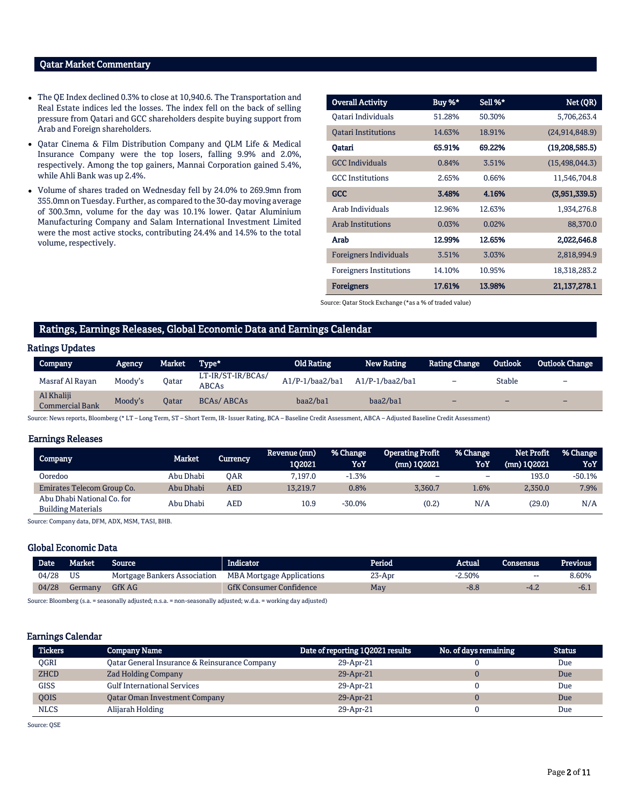## Qatar Market Commentary

- The QE Index declined 0.3% to close at 10,940.6. The Transportation and Real Estate indices led the losses. The index fell on the back of selling pressure from Qatari and GCC shareholders despite buying support from Arab and Foreign shareholders.
- Qatar Cinema & Film Distribution Company and QLM Life & Medical Insurance Company were the top losers, falling 9.9% and 2.0%, respectively. Among the top gainers, Mannai Corporation gained 5.4%, while Ahli Bank was up 2.4%.
- Volume of shares traded on Wednesday fell by 24.0% to 269.9mn from 355.0mn on Tuesday. Further, as compared to the 30-day moving average of 300.3mn, volume for the day was 10.1% lower. Qatar Aluminium Manufacturing Company and Salam International Investment Limited were the most active stocks, contributing 24.4% and 14.5% to the total volume, respectively.

| <b>Overall Activity</b>        | Buy %* | Sell %* | Net (QR)         |
|--------------------------------|--------|---------|------------------|
| Oatari Individuals             | 51.28% | 50.30%  | 5,706,263.4      |
| <b>Oatari Institutions</b>     | 14.63% | 18.91%  | (24, 914, 848.9) |
| Oatari                         | 65.91% | 69.22%  | (19,208,585.5)   |
| <b>GCC</b> Individuals         | 0.84%  | 3.51%   | (15, 498, 044.3) |
| <b>GCC</b> Institutions        | 2.65%  | 0.66%   | 11,546,704.8     |
| GCC                            | 3.48%  | 4.16%   | (3,951,339.5)    |
| Arab Individuals               | 12.96% | 12.63%  | 1,934,276.8      |
| <b>Arab Institutions</b>       | 0.03%  | 0.02%   | 88,370.0         |
| Arab                           | 12.99% | 12.65%  | 2,022,646.8      |
| <b>Foreigners Individuals</b>  | 3.51%  | 3.03%   | 2,818,994.9      |
| <b>Foreigners Institutions</b> | 14.10% | 10.95%  | 18,318,283.2     |
| <b>Foreigners</b>              | 17.61% | 13.98%  | 21, 137, 278. 1  |

Source: Qatar Stock Exchange (\*as a % of traded value)

## Ratings, Earnings Releases, Global Economic Data and Earnings Calendar

## Ratings Updates

| Company                              | <b>Agency</b> | Market | Type*                      | <b>Old Rating</b> | New Rating        | <b>Rating Change</b>     | Outlook                  | <b>Outlook Change</b> |
|--------------------------------------|---------------|--------|----------------------------|-------------------|-------------------|--------------------------|--------------------------|-----------------------|
| Masraf Al Rayan                      | Moody's       | Oatar  | LT-IR/ST-IR/BCAs/<br>ABCAs | $A1/P-1/baa2/ba1$ | $A1/P-1/baa2/ba1$ |                          | Stable                   | -                     |
| Al Khaliji<br><b>Commercial Bank</b> | Moody's       | Oatar  | BCAs/ABCAs                 | baa2/ba1          | baa2/ba1          | $\overline{\phantom{0}}$ | $\overline{\phantom{0}}$ | -                     |

Source: News reports, Bloomberg (\* LT – Long Term, ST – Short Term, IR- Issuer Rating, BCA – Baseline Credit Assessment, ABCA – Adjusted Baseline Credit Assessment)

## Earnings Releases

| <b>Company</b>                                          | Market    | <b>Currency</b> | Revenue (mn)<br>102021 | % Change<br>YoY | <b>Operating Profit</b><br>$(mn)$ 102021 | % Change<br>YoY | <b>Net Profit</b><br>(mn) 102021 | <b>% Change</b><br>YoY |
|---------------------------------------------------------|-----------|-----------------|------------------------|-----------------|------------------------------------------|-----------------|----------------------------------|------------------------|
| Ooredoo                                                 | Abu Dhabi | OAR             | 7.197.0                | $-1.3%$         | -                                        | -               | 193.0                            | $-50.1%$               |
| Emirates Telecom Group Co.                              | Abu Dhabi | AED             | 13.219.7               | 0.8%            | 3.360.7                                  | L.6%            | 2,350.0                          | 7.9%                   |
| Abu Dhabi National Co. for<br><b>Building Materials</b> | Abu Dhabi | AED             | 10.9                   | $-30.0%$        | (0.2)                                    | N/A             | (29.0)                           | N/A                    |

Source: Company data, DFM, ADX, MSM, TASI, BHB.

## Global Economic Data

| <b>Date</b> | Market  | Source                       | Indicator                        | Period | Actual   | Consensus | Previous |
|-------------|---------|------------------------------|----------------------------------|--------|----------|-----------|----------|
| 04/28       | US      | Mortgage Bankers Association | <b>MBA Mortgage Applications</b> | 23-Apr | $-2.50%$ | $- -$     | 8.60%    |
| 04/28       | Germanv | <b>GfK AG</b>                | <b>GfK Consumer Confidence</b>   | May    | $-8.8$   | $-4.2$    | $-6.1$   |

Source: Bloomberg (s.a. = seasonally adjusted; n.s.a. = non-seasonally adjusted; w.d.a. = working day adjusted)

### Earnings Calendar

| <b>Tickers</b> | <b>Company Name</b>                           | Date of reporting 102021 results | No. of days remaining | <b>Status</b> |
|----------------|-----------------------------------------------|----------------------------------|-----------------------|---------------|
| <b>OGRI</b>    | Oatar General Insurance & Reinsurance Company | 29-Apr-21                        |                       | Due           |
| <b>ZHCD</b>    | <b>Zad Holding Company</b>                    | 29-Apr-21                        |                       | Due           |
| GISS           | <b>Gulf International Services</b>            | 29-Apr-21                        |                       | Due           |
| QOIS           | <b>Qatar Oman Investment Company</b>          | 29-Apr-21                        |                       | Due           |
| <b>NLCS</b>    | Alijarah Holding                              | 29-Apr-21                        |                       | Due           |

Source: QSE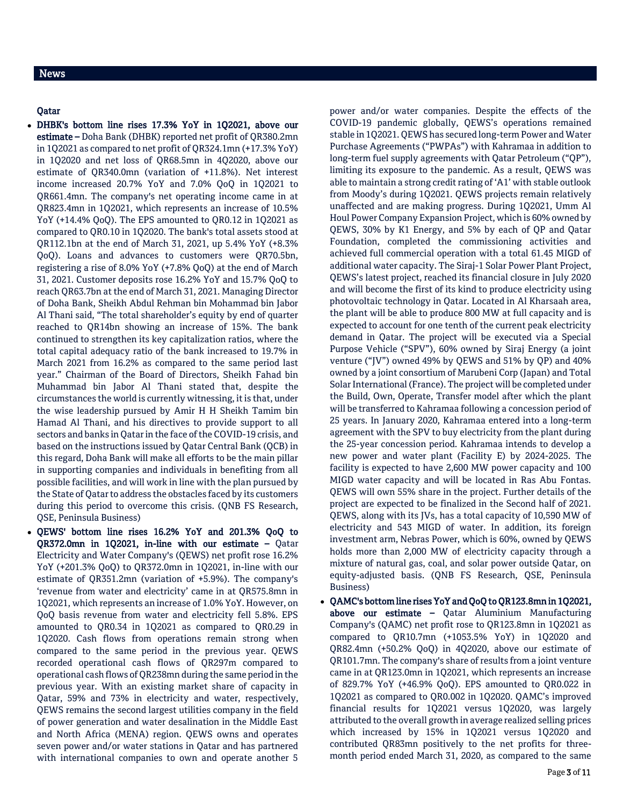## News

## Qatar

- DHBK's bottom line rises 17.3% YoY in 1Q2021, above our estimate – Doha Bank (DHBK) reported net profit of QR380.2mn in 1Q2021 as compared to net profit of QR324.1mn (+17.3% YoY) in 1Q2020 and net loss of QR68.5mn in 4Q2020, above our estimate of QR340.0mn (variation of +11.8%). Net interest income increased 20.7% YoY and 7.0% QoQ in 1Q2021 to QR661.4mn. The company's net operating income came in at QR823.4mn in 1Q2021, which represents an increase of 10.5% YoY (+14.4% QoQ). The EPS amounted to QR0.12 in 1Q2021 as compared to QR0.10 in 1Q2020. The bank's total assets stood at QR112.1bn at the end of March 31, 2021, up 5.4% YoY (+8.3% QoQ). Loans and advances to customers were QR70.5bn, registering a rise of 8.0% YoY (+7.8% QoQ) at the end of March 31, 2021. Customer deposits rose 16.2% YoY and 15.7% QoQ to reach QR63.7bn at the end of March 31, 2021. Managing Director of Doha Bank, Sheikh Abdul Rehman bin Mohammad bin Jabor Al Thani said, "The total shareholder's equity by end of quarter reached to QR14bn showing an increase of 15%. The bank continued to strengthen its key capitalization ratios, where the total capital adequacy ratio of the bank increased to 19.7% in March 2021 from 16.2% as compared to the same period last year." Chairman of the Board of Directors, Sheikh Fahad bin Muhammad bin Jabor Al Thani stated that, despite the circumstances the world is currently witnessing, it is that, under the wise leadership pursued by Amir H H Sheikh Tamim bin Hamad Al Thani, and his directives to provide support to all sectors and banks in Qatar in the face of the COVID-19 crisis, and based on the instructions issued by Qatar Central Bank (QCB) in this regard, Doha Bank will make all efforts to be the main pillar in supporting companies and individuals in benefiting from all possible facilities, and will work in line with the plan pursued by the State of Qatar to address the obstacles faced by its customers during this period to overcome this crisis. (QNB FS Research, QSE, Peninsula Business)
- QEWS' bottom line rises 16.2% YoY and 201.3% QoQ to QR372.0mn in 1Q2021, in-line with our estimate – Qatar Electricity and Water Company's (QEWS) net profit rose 16.2% YoY (+201.3% QoQ) to QR372.0mn in 1Q2021, in-line with our estimate of QR351.2mn (variation of +5.9%). The company's 'revenue from water and electricity' came in at QR575.8mn in 1Q2021, which represents an increase of 1.0% YoY. However, on QoQ basis revenue from water and electricity fell 5.8%. EPS amounted to QR0.34 in 1Q2021 as compared to QR0.29 in 1Q2020. Cash flows from operations remain strong when compared to the same period in the previous year. QEWS recorded operational cash flows of QR297m compared to operational cash flows of QR238mn during the same period in the previous year. With an existing market share of capacity in Qatar, 59% and 73% in electricity and water, respectively, QEWS remains the second largest utilities company in the field of power generation and water desalination in the Middle East and North Africa (MENA) region. QEWS owns and operates seven power and/or water stations in Qatar and has partnered with international companies to own and operate another 5

power and/or water companies. Despite the effects of the COVID-19 pandemic globally, QEWS's operations remained stable in 1Q2021. QEWS has secured long-term Power and Water Purchase Agreements ("PWPAs") with Kahramaa in addition to long-term fuel supply agreements with Qatar Petroleum ("QP"), limiting its exposure to the pandemic. As a result, QEWS was able to maintain a strong credit rating of 'A1' with stable outlook from Moody's during 1Q2021. QEWS projects remain relatively unaffected and are making progress. During 1Q2021, Umm Al Houl Power Company Expansion Project, which is 60% owned by QEWS, 30% by K1 Energy, and 5% by each of QP and Qatar Foundation, completed the commissioning activities and achieved full commercial operation with a total 61.45 MIGD of additional water capacity. The Siraj-1 Solar Power Plant Project, QEWS's latest project, reached its financial closure in July 2020 and will become the first of its kind to produce electricity using photovoltaic technology in Qatar. Located in Al Kharsaah area, the plant will be able to produce 800 MW at full capacity and is expected to account for one tenth of the current peak electricity demand in Qatar. The project will be executed via a Special Purpose Vehicle ("SPV"), 60% owned by Siraj Energy (a joint venture ("JV") owned 49% by QEWS and 51% by QP) and 40% owned by a joint consortium of Marubeni Corp (Japan) and Total Solar International (France). The project will be completed under the Build, Own, Operate, Transfer model after which the plant will be transferred to Kahramaa following a concession period of 25 years. In January 2020, Kahramaa entered into a long-term agreement with the SPV to buy electricity from the plant during the 25-year concession period. Kahramaa intends to develop a new power and water plant (Facility E) by 2024-2025. The facility is expected to have 2,600 MW power capacity and 100 MIGD water capacity and will be located in Ras Abu Fontas. QEWS will own 55% share in the project. Further details of the project are expected to be finalized in the Second half of 2021. QEWS, along with its JVs, has a total capacity of 10,590 MW of electricity and 543 MIGD of water. In addition, its foreign investment arm, Nebras Power, which is 60%, owned by QEWS holds more than 2,000 MW of electricity capacity through a mixture of natural gas, coal, and solar power outside Qatar, on equity-adjusted basis. (QNB FS Research, QSE, Peninsula Business)

 QAMC's bottom line rises YoY and QoQ to QR123.8mn in 1Q2021, above our estimate - Qatar Aluminium Manufacturing Company's (QAMC) net profit rose to QR123.8mn in 1Q2021 as compared to QR10.7mn (+1053.5% YoY) in 1Q2020 and QR82.4mn (+50.2% QoQ) in 4Q2020, above our estimate of QR101.7mn. The company's share of results from a joint venture came in at QR123.0mn in 1Q2021, which represents an increase of 829.7% YoY (+46.9% QoQ). EPS amounted to QR0.022 in 1Q2021 as compared to QR0.002 in 1Q2020. QAMC's improved financial results for 1Q2021 versus 1Q2020, was largely attributed to the overall growth in average realized selling prices which increased by 15% in 1Q2021 versus 1Q2020 and contributed QR83mn positively to the net profits for threemonth period ended March 31, 2020, as compared to the same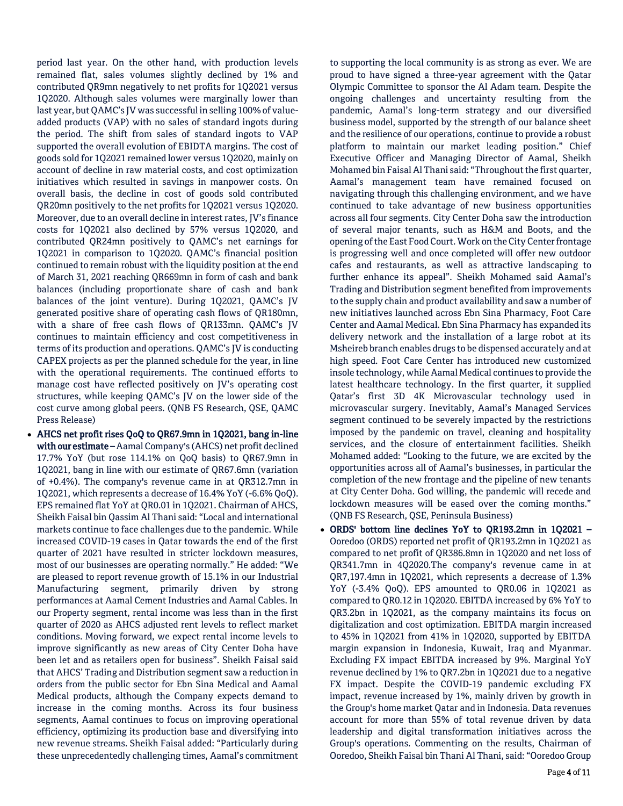period last year. On the other hand, with production levels remained flat, sales volumes slightly declined by 1% and contributed QR9mn negatively to net profits for 1Q2021 versus 1Q2020. Although sales volumes were marginally lower than last year, but QAMC's JV was successful in selling 100% of valueadded products (VAP) with no sales of standard ingots during the period. The shift from sales of standard ingots to VAP supported the overall evolution of EBIDTA margins. The cost of goods sold for 1Q2021 remained lower versus 1Q2020, mainly on account of decline in raw material costs, and cost optimization initiatives which resulted in savings in manpower costs. On overall basis, the decline in cost of goods sold contributed QR20mn positively to the net profits for 1Q2021 versus 1Q2020. Moreover, due to an overall decline in interest rates, JV's finance costs for 1Q2021 also declined by 57% versus 1Q2020, and contributed QR24mn positively to QAMC's net earnings for 1Q2021 in comparison to 1Q2020. QAMC's financial position continued to remain robust with the liquidity position at the end of March 31, 2021 reaching QR669mn in form of cash and bank balances (including proportionate share of cash and bank balances of the joint venture). During 1Q2021, QAMC's JV generated positive share of operating cash flows of QR180mn, with a share of free cash flows of QR133mn. QAMC's JV continues to maintain efficiency and cost competitiveness in terms of its production and operations. QAMC's JV is conducting CAPEX projects as per the planned schedule for the year, in line with the operational requirements. The continued efforts to manage cost have reflected positively on JV's operating cost structures, while keeping QAMC's JV on the lower side of the cost curve among global peers. (QNB FS Research, QSE, QAMC Press Release)

 AHCS net profit rises QoQ to QR67.9mn in 1Q2021, bang in-line with our estimate – Aamal Company's (AHCS) net profit declined 17.7% YoY (but rose 114.1% on QoQ basis) to QR67.9mn in 1Q2021, bang in line with our estimate of QR67.6mn (variation of +0.4%). The company's revenue came in at QR312.7mn in 1Q2021, which represents a decrease of 16.4% YoY (-6.6% QoQ). EPS remained flat YoY at QR0.01 in 1Q2021. Chairman of AHCS, Sheikh Faisal bin Qassim Al Thani said: "Local and international markets continue to face challenges due to the pandemic. While increased COVID-19 cases in Qatar towards the end of the first quarter of 2021 have resulted in stricter lockdown measures, most of our businesses are operating normally." He added: "We are pleased to report revenue growth of 15.1% in our Industrial Manufacturing segment, primarily driven by strong performances at Aamal Cement Industries and Aamal Cables. In our Property segment, rental income was less than in the first quarter of 2020 as AHCS adjusted rent levels to reflect market conditions. Moving forward, we expect rental income levels to improve significantly as new areas of City Center Doha have been let and as retailers open for business". Sheikh Faisal said that AHCS' Trading and Distribution segment saw a reduction in orders from the public sector for Ebn Sina Medical and Aamal Medical products, although the Company expects demand to increase in the coming months. Across its four business segments, Aamal continues to focus on improving operational efficiency, optimizing its production base and diversifying into new revenue streams. Sheikh Faisal added: "Particularly during these unprecedentedly challenging times, Aamal's commitment

to supporting the local community is as strong as ever. We are proud to have signed a three-year agreement with the Qatar Olympic Committee to sponsor the Al Adam team. Despite the ongoing challenges and uncertainty resulting from the pandemic, Aamal's long-term strategy and our diversified business model, supported by the strength of our balance sheet and the resilience of our operations, continue to provide a robust platform to maintain our market leading position." Chief Executive Officer and Managing Director of Aamal, Sheikh Mohamed bin Faisal Al Thani said: "Throughout the first quarter, Aamal's management team have remained focused on navigating through this challenging environment, and we have continued to take advantage of new business opportunities across all four segments. City Center Doha saw the introduction of several major tenants, such as H&M and Boots, and the opening of the East Food Court. Work on the City Center frontage is progressing well and once completed will offer new outdoor cafes and restaurants, as well as attractive landscaping to further enhance its appeal". Sheikh Mohamed said Aamal's Trading and Distribution segment benefited from improvements to the supply chain and product availability and saw a number of new initiatives launched across Ebn Sina Pharmacy, Foot Care Center and Aamal Medical. Ebn Sina Pharmacy has expanded its delivery network and the installation of a large robot at its Msheireb branch enables drugs to be dispensed accurately and at high speed. Foot Care Center has introduced new customized insole technology, while Aamal Medical continues to provide the latest healthcare technology. In the first quarter, it supplied Qatar's first 3D 4K Microvascular technology used in microvascular surgery. Inevitably, Aamal's Managed Services segment continued to be severely impacted by the restrictions imposed by the pandemic on travel, cleaning and hospitality services, and the closure of entertainment facilities. Sheikh Mohamed added: "Looking to the future, we are excited by the opportunities across all of Aamal's businesses, in particular the completion of the new frontage and the pipeline of new tenants at City Center Doha. God willing, the pandemic will recede and lockdown measures will be eased over the coming months." (QNB FS Research, QSE, Peninsula Business)

 ORDS' bottom line declines YoY to QR193.2mn in 1Q2021 – Ooredoo (ORDS) reported net profit of QR193.2mn in 1Q2021 as compared to net profit of QR386.8mn in 1Q2020 and net loss of QR341.7mn in 4Q2020.The company's revenue came in at QR7,197.4mn in 1Q2021, which represents a decrease of 1.3% YoY (-3.4% QoQ). EPS amounted to QR0.06 in 1Q2021 as compared to QR0.12 in 1Q2020. EBITDA increased by 6% YoY to QR3.2bn in 1Q2021, as the company maintains its focus on digitalization and cost optimization. EBITDA margin increased to 45% in 1Q2021 from 41% in 1Q2020, supported by EBITDA margin expansion in Indonesia, Kuwait, Iraq and Myanmar. Excluding FX impact EBITDA increased by 9%. Marginal YoY revenue declined by 1% to QR7.2bn in 1Q2021 due to a negative FX impact. Despite the COVID-19 pandemic excluding FX impact, revenue increased by 1%, mainly driven by growth in the Group's home market Qatar and in Indonesia. Data revenues account for more than 55% of total revenue driven by data leadership and digital transformation initiatives across the Group's operations. Commenting on the results, Chairman of Ooredoo, Sheikh Faisal bin Thani Al Thani, said: "Ooredoo Group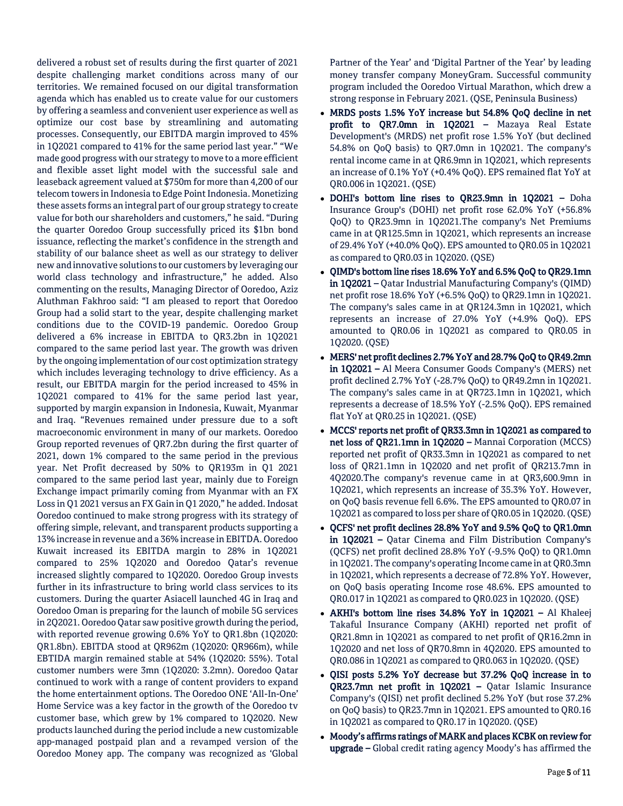delivered a robust set of results during the first quarter of 2021 despite challenging market conditions across many of our territories. We remained focused on our digital transformation agenda which has enabled us to create value for our customers by offering a seamless and convenient user experience as well as optimize our cost base by streamlining and automating processes. Consequently, our EBITDA margin improved to 45% in 1Q2021 compared to 41% for the same period last year." "We made good progress with our strategy to move to a more efficient and flexible asset light model with the successful sale and leaseback agreement valued at \$750m for more than 4,200 of our telecom towers in Indonesia to Edge Point Indonesia. Monetizing these assets forms an integral part of our group strategy to create value for both our shareholders and customers," he said. "During the quarter Ooredoo Group successfully priced its \$1bn bond issuance, reflecting the market's confidence in the strength and stability of our balance sheet as well as our strategy to deliver new and innovative solutions to our customers by leveraging our world class technology and infrastructure," he added. Also commenting on the results, Managing Director of Ooredoo, Aziz Aluthman Fakhroo said: "I am pleased to report that Ooredoo Group had a solid start to the year, despite challenging market conditions due to the COVID-19 pandemic. Ooredoo Group delivered a 6% increase in EBITDA to QR3.2bn in 1Q2021 compared to the same period last year. The growth was driven by the ongoing implementation of our cost optimization strategy which includes leveraging technology to drive efficiency. As a result, our EBITDA margin for the period increased to 45% in 1Q2021 compared to 41% for the same period last year, supported by margin expansion in Indonesia, Kuwait, Myanmar and Iraq. "Revenues remained under pressure due to a soft macroeconomic environment in many of our markets. Ooredoo Group reported revenues of QR7.2bn during the first quarter of 2021, down 1% compared to the same period in the previous year. Net Profit decreased by 50% to QR193m in Q1 2021 compared to the same period last year, mainly due to Foreign Exchange impact primarily coming from Myanmar with an FX Loss in Q1 2021 versus an FX Gain in Q1 2020," he added. Indosat Ooredoo continued to make strong progress with its strategy of offering simple, relevant, and transparent products supporting a 13% increase in revenue and a 36% increase in EBITDA. Ooredoo Kuwait increased its EBITDA margin to 28% in 1Q2021 compared to 25% 1Q2020 and Ooredoo Qatar's revenue increased slightly compared to 1Q2020. Ooredoo Group invests further in its infrastructure to bring world class services to its customers. During the quarter Asiacell launched 4G in Iraq and Ooredoo Oman is preparing for the launch of mobile 5G services in 2Q2021. Ooredoo Qatar saw positive growth during the period, with reported revenue growing 0.6% YoY to QR1.8bn (1Q2020: QR1.8bn). EBITDA stood at QR962m (1Q2020: QR966m), while EBTIDA margin remained stable at 54% (1Q2020: 55%). Total customer numbers were 3mn (1Q2020: 3.2mn). Ooredoo Qatar continued to work with a range of content providers to expand the home entertainment options. The Ooredoo ONE 'All-In-One' Home Service was a key factor in the growth of the Ooredoo tv customer base, which grew by 1% compared to 1Q2020. New products launched during the period include a new customizable app-managed postpaid plan and a revamped version of the Ooredoo Money app. The company was recognized as 'Global

Partner of the Year' and 'Digital Partner of the Year' by leading money transfer company MoneyGram. Successful community program included the Ooredoo Virtual Marathon, which drew a strong response in February 2021. (QSE, Peninsula Business)

- MRDS posts 1.5% YoY increase but 54.8% QoQ decline in net profit to QR7.0mn in 1Q2021 – Mazaya Real Estate Development's (MRDS) net profit rose 1.5% YoY (but declined 54.8% on QoQ basis) to QR7.0mn in 1Q2021. The company's rental income came in at QR6.9mn in 1Q2021, which represents an increase of 0.1% YoY (+0.4% QoQ). EPS remained flat YoY at QR0.006 in 1Q2021. (QSE)
- DOHI's bottom line rises to QR23.9mn in 1Q2021 Doha Insurance Group's (DOHI) net profit rose 62.0% YoY (+56.8% QoQ) to QR23.9mn in 1Q2021.The company's Net Premiums came in at QR125.5mn in 1Q2021, which represents an increase of 29.4% YoY (+40.0% QoQ). EPS amounted to QR0.05 in 1Q2021 as compared to QR0.03 in 1Q2020. (QSE)
- QIMD's bottom line rises 18.6% YoY and 6.5% QoQ to QR29.1mn in 1Q2021 – Qatar Industrial Manufacturing Company's (QIMD) net profit rose 18.6% YoY (+6.5% QoQ) to QR29.1mn in 1Q2021. The company's sales came in at QR124.3mn in 1Q2021, which represents an increase of 27.0% YoY (+4.9% QoQ). EPS amounted to QR0.06 in 1Q2021 as compared to QR0.05 in 1Q2020. (QSE)
- MERS' net profit declines 2.7% YoY and 28.7% QoQ to QR49.2mn in 1Q2021 – Al Meera Consumer Goods Company's (MERS) net profit declined 2.7% YoY (-28.7% QoQ) to QR49.2mn in 1Q2021. The company's sales came in at QR723.1mn in 1Q2021, which represents a decrease of 18.5% YoY (-2.5% QoQ). EPS remained flat YoY at QR0.25 in 1Q2021. (QSE)
- MCCS' reports net profit of QR33.3mn in 1Q2021 as compared to net loss of QR21.1mn in 1Q2020 – Mannai Corporation (MCCS) reported net profit of QR33.3mn in 1Q2021 as compared to net loss of QR21.1mn in 1Q2020 and net profit of QR213.7mn in 4Q2020.The company's revenue came in at QR3,600.9mn in 1Q2021, which represents an increase of 35.3% YoY. However, on QoQ basis revenue fell 6.6%. The EPS amounted to QR0.07 in 1Q2021 as compared to loss per share of QR0.05 in 1Q2020. (QSE)
- QCFS' net profit declines 28.8% YoY and 9.5% QoQ to QR1.0mn in 1Q2021 – Qatar Cinema and Film Distribution Company's (QCFS) net profit declined 28.8% YoY (-9.5% QoQ) to QR1.0mn in 1Q2021. The company's operating Income came in at QR0.3mn in 1Q2021, which represents a decrease of 72.8% YoY. However, on QoQ basis operating Income rose 48.6%. EPS amounted to QR0.017 in 1Q2021 as compared to QR0.023 in 1Q2020. (QSE)
- AKHI's bottom line rises 34.8% YoY in 1Q2021 Al Khaleej Takaful Insurance Company (AKHI) reported net profit of QR21.8mn in 1Q2021 as compared to net profit of QR16.2mn in 1Q2020 and net loss of QR70.8mn in 4Q2020. EPS amounted to QR0.086 in 1Q2021 as compared to QR0.063 in 1Q2020. (QSE)
- QISI posts 5.2% YoY decrease but 37.2% QoQ increase in to QR23.7mn net profit in 1Q2021 – Qatar Islamic Insurance Company's (QISI) net profit declined 5.2% YoY (but rose 37.2% on QoQ basis) to QR23.7mn in 1Q2021. EPS amounted to QR0.16 in 1Q2021 as compared to QR0.17 in 1Q2020. (QSE)
- Moody's affirms ratings of MARK and places KCBK on review for upgrade – Global credit rating agency Moody's has affirmed the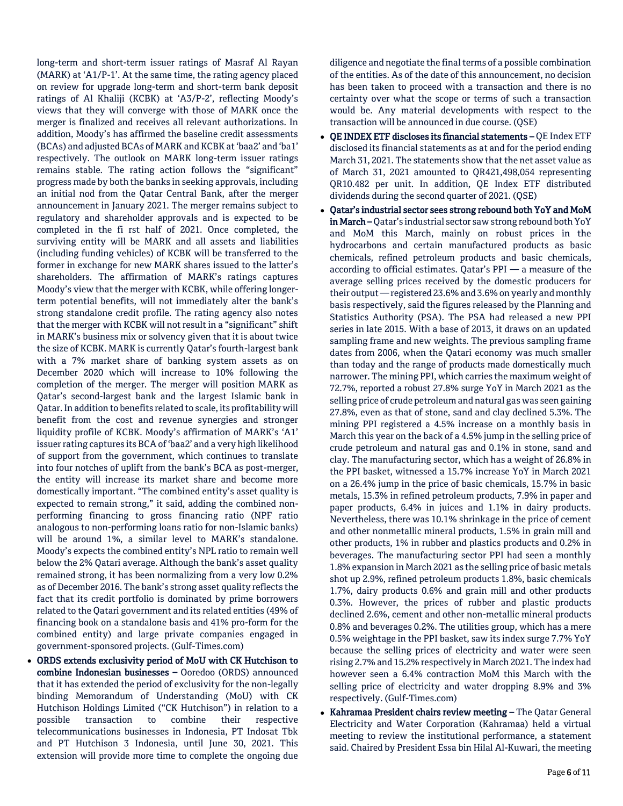long-term and short-term issuer ratings of Masraf Al Rayan (MARK) at 'A1/P-1'. At the same time, the rating agency placed on review for upgrade long-term and short-term bank deposit ratings of Al Khaliji (KCBK) at 'A3/P-2', reflecting Moody's views that they will converge with those of MARK once the merger is finalized and receives all relevant authorizations. In addition, Moody's has affirmed the baseline credit assessments (BCAs) and adjusted BCAs of MARK and KCBK at 'baa2' and 'ba1' respectively. The outlook on MARK long-term issuer ratings remains stable. The rating action follows the "significant" progress made by both the banks in seeking approvals, including an initial nod from the Qatar Central Bank, after the merger announcement in January 2021. The merger remains subject to regulatory and shareholder approvals and is expected to be completed in the fi rst half of 2021. Once completed, the surviving entity will be MARK and all assets and liabilities (including funding vehicles) of KCBK will be transferred to the former in exchange for new MARK shares issued to the latter's shareholders. The affirmation of MARK's ratings captures Moody's view that the merger with KCBK, while offering longerterm potential benefits, will not immediately alter the bank's strong standalone credit profile. The rating agency also notes that the merger with KCBK will not result in a "significant" shift in MARK's business mix or solvency given that it is about twice the size of KCBK. MARK is currently Qatar's fourth-largest bank with a 7% market share of banking system assets as on December 2020 which will increase to 10% following the completion of the merger. The merger will position MARK as Qatar's second-largest bank and the largest Islamic bank in Qatar. In addition to benefits related to scale, its profitability will benefit from the cost and revenue synergies and stronger liquidity profile of KCBK. Moody's affirmation of MARK's 'A1' issuer rating captures its BCA of 'baa2' and a very high likelihood of support from the government, which continues to translate into four notches of uplift from the bank's BCA as post-merger, the entity will increase its market share and become more domestically important. "The combined entity's asset quality is expected to remain strong," it said, adding the combined nonperforming financing to gross financing ratio (NPF ratio analogous to non-performing loans ratio for non-Islamic banks) will be around 1%, a similar level to MARK's standalone. Moody's expects the combined entity's NPL ratio to remain well below the 2% Qatari average. Although the bank's asset quality remained strong, it has been normalizing from a very low 0.2% as of December 2016. The bank's strong asset quality reflects the fact that its credit portfolio is dominated by prime borrowers related to the Qatari government and its related entities (49% of financing book on a standalone basis and 41% pro-form for the combined entity) and large private companies engaged in government-sponsored projects. (Gulf-Times.com)

 ORDS extends exclusivity period of MoU with CK Hutchison to combine Indonesian businesses – Ooredoo (ORDS) announced that it has extended the period of exclusivity for the non-legally binding Memorandum of Understanding (MoU) with CK Hutchison Holdings Limited ("CK Hutchison") in relation to a possible transaction to combine their respective telecommunications businesses in Indonesia, PT Indosat Tbk and PT Hutchison 3 Indonesia, until June 30, 2021. This extension will provide more time to complete the ongoing due

diligence and negotiate the final terms of a possible combination of the entities. As of the date of this announcement, no decision has been taken to proceed with a transaction and there is no certainty over what the scope or terms of such a transaction would be. Any material developments with respect to the transaction will be announced in due course. (QSE)

- QE INDEX ETF discloses its financial statements QE Index ETF disclosed its financial statements as at and for the period ending March 31, 2021. The statements show that the net asset value as of March 31, 2021 amounted to QR421,498,054 representing QR10.482 per unit. In addition, QE Index ETF distributed dividends during the second quarter of 2021. (QSE)
- Qatar's industrial sector sees strong rebound both YoY and MoM in March – Qatar's industrial sector saw strong rebound both YoY and MoM this March, mainly on robust prices in the hydrocarbons and certain manufactured products as basic chemicals, refined petroleum products and basic chemicals, according to official estimates. Qatar's PPI — a measure of the average selling prices received by the domestic producers for their output —registered 23.6% and 3.6% on yearly and monthly basis respectively, said the figures released by the Planning and Statistics Authority (PSA). The PSA had released a new PPI series in late 2015. With a base of 2013, it draws on an updated sampling frame and new weights. The previous sampling frame dates from 2006, when the Qatari economy was much smaller than today and the range of products made domestically much narrower. The mining PPI, which carries the maximum weight of 72.7%, reported a robust 27.8% surge YoY in March 2021 as the selling price of crude petroleum and natural gas was seen gaining 27.8%, even as that of stone, sand and clay declined 5.3%. The mining PPI registered a 4.5% increase on a monthly basis in March this year on the back of a 4.5% jump in the selling price of crude petroleum and natural gas and 0.1% in stone, sand and clay. The manufacturing sector, which has a weight of 26.8% in the PPI basket, witnessed a 15.7% increase YoY in March 2021 on a 26.4% jump in the price of basic chemicals, 15.7% in basic metals, 15.3% in refined petroleum products, 7.9% in paper and paper products, 6.4% in juices and 1.1% in dairy products. Nevertheless, there was 10.1% shrinkage in the price of cement and other nonmetallic mineral products, 1.5% in grain mill and other products, 1% in rubber and plastics products and 0.2% in beverages. The manufacturing sector PPI had seen a monthly 1.8% expansion in March 2021 as the selling price of basic metals shot up 2.9%, refined petroleum products 1.8%, basic chemicals 1.7%, dairy products 0.6% and grain mill and other products 0.3%. However, the prices of rubber and plastic products declined 2.6%, cement and other non-metallic mineral products 0.8% and beverages 0.2%. The utilities group, which has a mere 0.5% weightage in the PPI basket, saw its index surge 7.7% YoY because the selling prices of electricity and water were seen rising 2.7% and 15.2% respectively in March 2021. The index had however seen a 6.4% contraction MoM this March with the selling price of electricity and water dropping 8.9% and 3% respectively. (Gulf-Times.com)
- Kahramaa President chairs review meeting The Qatar General Electricity and Water Corporation (Kahramaa) held a virtual meeting to review the institutional performance, a statement said. Chaired by President Essa bin Hilal Al-Kuwari, the meeting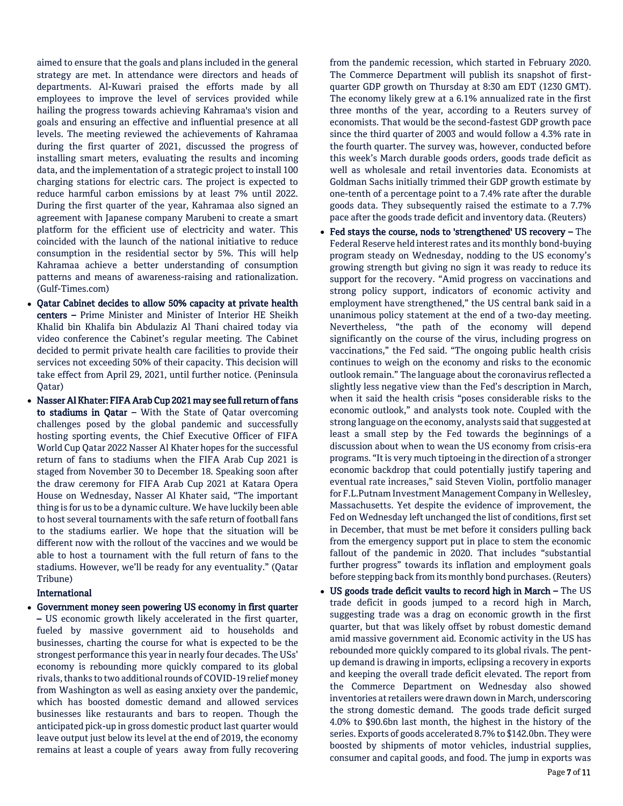aimed to ensure that the goals and plans included in the general strategy are met. In attendance were directors and heads of departments. Al-Kuwari praised the efforts made by all employees to improve the level of services provided while hailing the progress towards achieving Kahramaa's vision and goals and ensuring an effective and influential presence at all levels. The meeting reviewed the achievements of Kahramaa during the first quarter of 2021, discussed the progress of installing smart meters, evaluating the results and incoming data, and the implementation of a strategic project to install 100 charging stations for electric cars. The project is expected to reduce harmful carbon emissions by at least 7% until 2022. During the first quarter of the year, Kahramaa also signed an agreement with Japanese company Marubeni to create a smart platform for the efficient use of electricity and water. This coincided with the launch of the national initiative to reduce consumption in the residential sector by 5%. This will help Kahramaa achieve a better understanding of consumption patterns and means of awareness-raising and rationalization. (Gulf-Times.com)

- Qatar Cabinet decides to allow 50% capacity at private health centers – Prime Minister and Minister of Interior HE Sheikh Khalid bin Khalifa bin Abdulaziz Al Thani chaired today via video conference the Cabinet's regular meeting. The Cabinet decided to permit private health care facilities to provide their services not exceeding 50% of their capacity. This decision will take effect from April 29, 2021, until further notice. (Peninsula Qatar)
- Nasser Al Khater: FIFA Arab Cup 2021 may see full return of fans to stadiums in Qatar – With the State of Qatar overcoming challenges posed by the global pandemic and successfully hosting sporting events, the Chief Executive Officer of FIFA World Cup Qatar 2022 Nasser Al Khater hopes for the successful return of fans to stadiums when the FIFA Arab Cup 2021 is staged from November 30 to December 18. Speaking soon after the draw ceremony for FIFA Arab Cup 2021 at Katara Opera House on Wednesday, Nasser Al Khater said, "The important thing is for us to be a dynamic culture. We have luckily been able to host several tournaments with the safe return of football fans to the stadiums earlier. We hope that the situation will be different now with the rollout of the vaccines and we would be able to host a tournament with the full return of fans to the stadiums. However, we'll be ready for any eventuality." (Qatar Tribune)

## International

 Government money seen powering US economy in first quarter – US economic growth likely accelerated in the first quarter, fueled by massive government aid to households and businesses, charting the course for what is expected to be the strongest performance this year in nearly four decades. The USs' economy is rebounding more quickly compared to its global rivals, thanks to two additional rounds of COVID-19 relief money from Washington as well as easing anxiety over the pandemic, which has boosted domestic demand and allowed services businesses like restaurants and bars to reopen. Though the anticipated pick-up in gross domestic product last quarter would leave output just below its level at the end of 2019, the economy remains at least a couple of years away from fully recovering from the pandemic recession, which started in February 2020. The Commerce Department will publish its snapshot of firstquarter GDP growth on Thursday at 8:30 am EDT (1230 GMT). The economy likely grew at a 6.1% annualized rate in the first three months of the year, according to a Reuters survey of economists. That would be the second-fastest GDP growth pace since the third quarter of 2003 and would follow a 4.3% rate in the fourth quarter. The survey was, however, conducted before this week's March durable goods orders, goods trade deficit as well as wholesale and retail inventories data. Economists at Goldman Sachs initially trimmed their GDP growth estimate by one-tenth of a percentage point to a 7.4% rate after the durable goods data. They subsequently raised the estimate to a 7.7% pace after the goods trade deficit and inventory data. (Reuters)

- Fed stays the course, nods to 'strengthened' US recovery The Federal Reserve held interest rates and its monthly bond-buying program steady on Wednesday, nodding to the US economy's growing strength but giving no sign it was ready to reduce its support for the recovery. "Amid progress on vaccinations and strong policy support, indicators of economic activity and employment have strengthened," the US central bank said in a unanimous policy statement at the end of a two-day meeting. Nevertheless, "the path of the economy will depend significantly on the course of the virus, including progress on vaccinations," the Fed said. "The ongoing public health crisis continues to weigh on the economy and risks to the economic outlook remain." The language about the coronavirus reflected a slightly less negative view than the Fed's description in March, when it said the health crisis "poses considerable risks to the economic outlook," and analysts took note. Coupled with the strong language on the economy, analysts said that suggested at least a small step by the Fed towards the beginnings of a discussion about when to wean the US economy from crisis-era programs. "It is very much tiptoeing in the direction of a stronger economic backdrop that could potentially justify tapering and eventual rate increases," said Steven Violin, portfolio manager for F.L.Putnam Investment Management Company in Wellesley, Massachusetts. Yet despite the evidence of improvement, the Fed on Wednesday left unchanged the list of conditions, first set in December, that must be met before it considers pulling back from the emergency support put in place to stem the economic fallout of the pandemic in 2020. That includes "substantial further progress" towards its inflation and employment goals before stepping back from its monthly bond purchases. (Reuters)
- US goods trade deficit vaults to record high in March The US trade deficit in goods jumped to a record high in March, suggesting trade was a drag on economic growth in the first quarter, but that was likely offset by robust domestic demand amid massive government aid. Economic activity in the US has rebounded more quickly compared to its global rivals. The pentup demand is drawing in imports, eclipsing a recovery in exports and keeping the overall trade deficit elevated. The report from the Commerce Department on Wednesday also showed inventories at retailers were drawn down in March, underscoring the strong domestic demand. The goods trade deficit surged 4.0% to \$90.6bn last month, the highest in the history of the series. Exports of goods accelerated 8.7% to \$142.0bn. They were boosted by shipments of motor vehicles, industrial supplies, consumer and capital goods, and food. The jump in exports was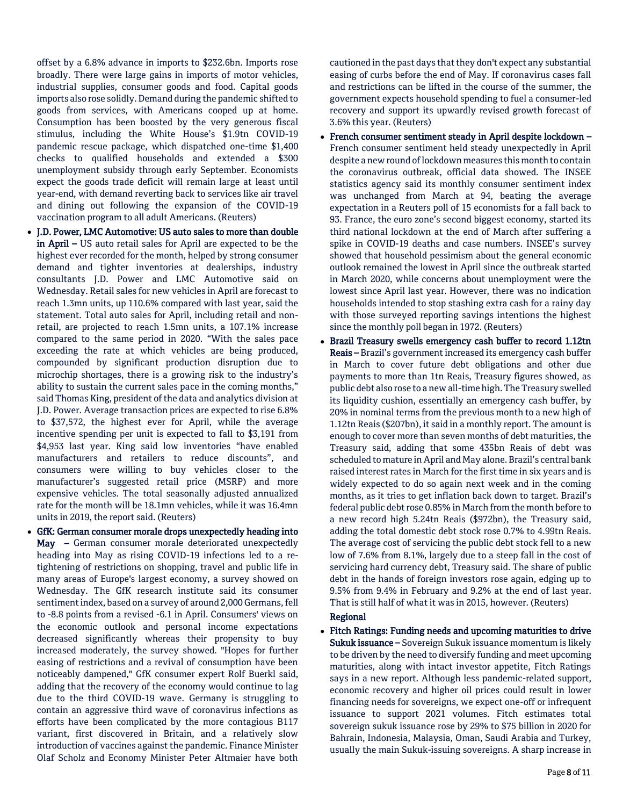offset by a 6.8% advance in imports to \$232.6bn. Imports rose broadly. There were large gains in imports of motor vehicles, industrial supplies, consumer goods and food. Capital goods imports also rose solidly. Demand during the pandemic shifted to goods from services, with Americans cooped up at home. Consumption has been boosted by the very generous fiscal stimulus, including the White House's \$1.9tn COVID-19 pandemic rescue package, which dispatched one-time \$1,400 checks to qualified households and extended a \$300 unemployment subsidy through early September. Economists expect the goods trade deficit will remain large at least until year-end, with demand reverting back to services like air travel and dining out following the expansion of the COVID-19 vaccination program to all adult Americans. (Reuters)

- J.D. Power, LMC Automotive: US auto sales to more than double in April – US auto retail sales for April are expected to be the highest ever recorded for the month, helped by strong consumer demand and tighter inventories at dealerships, industry consultants J.D. Power and LMC Automotive said on Wednesday. Retail sales for new vehicles in April are forecast to reach 1.3mn units, up 110.6% compared with last year, said the statement. Total auto sales for April, including retail and nonretail, are projected to reach 1.5mn units, a 107.1% increase compared to the same period in 2020. "With the sales pace exceeding the rate at which vehicles are being produced, compounded by significant production disruption due to microchip shortages, there is a growing risk to the industry's ability to sustain the current sales pace in the coming months," said Thomas King, president of the data and analytics division at J.D. Power. Average transaction prices are expected to rise 6.8% to \$37,572, the highest ever for April, while the average incentive spending per unit is expected to fall to \$3,191 from \$4,953 last year. King said low inventories "have enabled manufacturers and retailers to reduce discounts", and consumers were willing to buy vehicles closer to the manufacturer's suggested retail price (MSRP) and more expensive vehicles. The total seasonally adjusted annualized rate for the month will be 18.1mn vehicles, while it was 16.4mn units in 2019, the report said. (Reuters)
- GfK: German consumer morale drops unexpectedly heading into May – German consumer morale deteriorated unexpectedly heading into May as rising COVID-19 infections led to a retightening of restrictions on shopping, travel and public life in many areas of Europe's largest economy, a survey showed on Wednesday. The GfK research institute said its consumer sentiment index, based on a survey of around 2,000 Germans, fell to -8.8 points from a revised -6.1 in April. Consumers' views on the economic outlook and personal income expectations decreased significantly whereas their propensity to buy increased moderately, the survey showed. "Hopes for further easing of restrictions and a revival of consumption have been noticeably dampened," GfK consumer expert Rolf Buerkl said, adding that the recovery of the economy would continue to lag due to the third COVID-19 wave. Germany is struggling to contain an aggressive third wave of coronavirus infections as efforts have been complicated by the more contagious B117 variant, first discovered in Britain, and a relatively slow introduction of vaccines against the pandemic. Finance Minister Olaf Scholz and Economy Minister Peter Altmaier have both

cautioned in the past days that they don't expect any substantial easing of curbs before the end of May. If coronavirus cases fall and restrictions can be lifted in the course of the summer, the government expects household spending to fuel a consumer-led recovery and support its upwardly revised growth forecast of 3.6% this year. (Reuters)

- French consumer sentiment steady in April despite lockdown French consumer sentiment held steady unexpectedly in April despite a new round of lockdown measures this month to contain the coronavirus outbreak, official data showed. The INSEE statistics agency said its monthly consumer sentiment index was unchanged from March at 94, beating the average expectation in a Reuters poll of 15 economists for a fall back to 93. France, the euro zone's second biggest economy, started its third national lockdown at the end of March after suffering a spike in COVID-19 deaths and case numbers. INSEE's survey showed that household pessimism about the general economic outlook remained the lowest in April since the outbreak started in March 2020, while concerns about unemployment were the lowest since April last year. However, there was no indication households intended to stop stashing extra cash for a rainy day with those surveyed reporting savings intentions the highest since the monthly poll began in 1972. (Reuters)
- Brazil Treasury swells emergency cash buffer to record 1.12tn Reais – Brazil's government increased its emergency cash buffer in March to cover future debt obligations and other due payments to more than 1tn Reais, Treasury figures showed, as public debt also rose to a new all-time high. The Treasury swelled its liquidity cushion, essentially an emergency cash buffer, by 20% in nominal terms from the previous month to a new high of 1.12tn Reais (\$207bn), it said in a monthly report. The amount is enough to cover more than seven months of debt maturities, the Treasury said, adding that some 435bn Reais of debt was scheduled to mature in April and May alone. Brazil's central bank raised interest rates in March for the first time in six years and is widely expected to do so again next week and in the coming months, as it tries to get inflation back down to target. Brazil's federal public debt rose 0.85% in March from the month before to a new record high 5.24tn Reais (\$972bn), the Treasury said, adding the total domestic debt stock rose 0.7% to 4.99tn Reais. The average cost of servicing the public debt stock fell to a new low of 7.6% from 8.1%, largely due to a steep fall in the cost of servicing hard currency debt, Treasury said. The share of public debt in the hands of foreign investors rose again, edging up to 9.5% from 9.4% in February and 9.2% at the end of last year. That is still half of what it was in 2015, however. (Reuters)

## Regional

 Fitch Ratings: Funding needs and upcoming maturities to drive Sukuk issuance – Sovereign Sukuk issuance momentum is likely to be driven by the need to diversify funding and meet upcoming maturities, along with intact investor appetite, Fitch Ratings says in a new report. Although less pandemic-related support, economic recovery and higher oil prices could result in lower financing needs for sovereigns, we expect one-off or infrequent issuance to support 2021 volumes. Fitch estimates total sovereign sukuk issuance rose by 29% to \$75 billion in 2020 for Bahrain, Indonesia, Malaysia, Oman, Saudi Arabia and Turkey, usually the main Sukuk-issuing sovereigns. A sharp increase in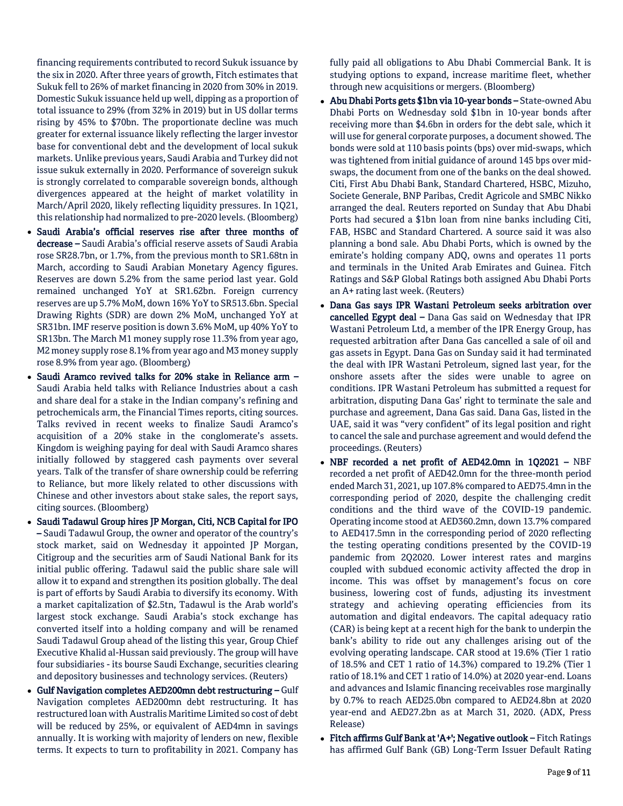financing requirements contributed to record Sukuk issuance by the six in 2020. After three years of growth, Fitch estimates that Sukuk fell to 26% of market financing in 2020 from 30% in 2019. Domestic Sukuk issuance held up well, dipping as a proportion of total issuance to 29% (from 32% in 2019) but in US dollar terms rising by 45% to \$70bn. The proportionate decline was much greater for external issuance likely reflecting the larger investor base for conventional debt and the development of local sukuk markets. Unlike previous years, Saudi Arabia and Turkey did not issue sukuk externally in 2020. Performance of sovereign sukuk is strongly correlated to comparable sovereign bonds, although divergences appeared at the height of market volatility in March/April 2020, likely reflecting liquidity pressures. In 1Q21, this relationship had normalized to pre-2020 levels. (Bloomberg)

- Saudi Arabia's official reserves rise after three months of decrease – Saudi Arabia's official reserve assets of Saudi Arabia rose SR28.7bn, or 1.7%, from the previous month to SR1.68tn in March, according to Saudi Arabian Monetary Agency figures. Reserves are down 5.2% from the same period last year. Gold remained unchanged YoY at SR1.62bn. Foreign currency reserves are up 5.7% MoM, down 16% YoY to SR513.6bn. Special Drawing Rights (SDR) are down 2% MoM, unchanged YoY at SR31bn. IMF reserve position is down 3.6% MoM, up 40% YoY to SR13bn. The March M1 money supply rose 11.3% from year ago, M2 money supply rose 8.1% from year ago and M3 money supply rose 8.9% from year ago. (Bloomberg)
- Saudi Aramco revived talks for 20% stake in Reliance arm Saudi Arabia held talks with Reliance Industries about a cash and share deal for a stake in the Indian company's refining and petrochemicals arm, the Financial Times reports, citing sources. Talks revived in recent weeks to finalize Saudi Aramco's acquisition of a 20% stake in the conglomerate's assets. Kingdom is weighing paying for deal with Saudi Aramco shares initially followed by staggered cash payments over several years. Talk of the transfer of share ownership could be referring to Reliance, but more likely related to other discussions with Chinese and other investors about stake sales, the report says, citing sources. (Bloomberg)
- Saudi Tadawul Group hires JP Morgan, Citi, NCB Capital for IPO – Saudi Tadawul Group, the owner and operator of the country's stock market, said on Wednesday it appointed JP Morgan, Citigroup and the securities arm of Saudi National Bank for its initial public offering. Tadawul said the public share sale will allow it to expand and strengthen its position globally. The deal is part of efforts by Saudi Arabia to diversify its economy. With a market capitalization of \$2.5tn, Tadawul is the Arab world's largest stock exchange. Saudi Arabia's stock exchange has converted itself into a holding company and will be renamed Saudi Tadawul Group ahead of the listing this year, Group Chief Executive Khalid al-Hussan said previously. The group will have four subsidiaries - its bourse Saudi Exchange, securities clearing and depository businesses and technology services. (Reuters)
- Gulf Navigation completes AED200mn debt restructuring Gulf Navigation completes AED200mn debt restructuring. It has restructured loan with Australis Maritime Limited so cost of debt will be reduced by 25%, or equivalent of AED4mn in savings annually. It is working with majority of lenders on new, flexible terms. It expects to turn to profitability in 2021. Company has

fully paid all obligations to Abu Dhabi Commercial Bank. It is studying options to expand, increase maritime fleet, whether through new acquisitions or mergers. (Bloomberg)

- Abu Dhabi Ports gets \$1bn via 10-year bonds State-owned Abu Dhabi Ports on Wednesday sold \$1bn in 10-year bonds after receiving more than \$4.6bn in orders for the debt sale, which it will use for general corporate purposes, a document showed. The bonds were sold at 110 basis points (bps) over mid-swaps, which was tightened from initial guidance of around 145 bps over midswaps, the document from one of the banks on the deal showed. Citi, First Abu Dhabi Bank, Standard Chartered, HSBC, Mizuho, Societe Generale, BNP Paribas, Credit Agricole and SMBC Nikko arranged the deal. Reuters reported on Sunday that Abu Dhabi Ports had secured a \$1bn loan from nine banks including Citi, FAB, HSBC and Standard Chartered. A source said it was also planning a bond sale. Abu Dhabi Ports, which is owned by the emirate's holding company ADQ, owns and operates 11 ports and terminals in the United Arab Emirates and Guinea. Fitch Ratings and S&P Global Ratings both assigned Abu Dhabi Ports an A+ rating last week. (Reuters)
- Dana Gas says IPR Wastani Petroleum seeks arbitration over cancelled Egypt deal – Dana Gas said on Wednesday that IPR Wastani Petroleum Ltd, a member of the IPR Energy Group, has requested arbitration after Dana Gas cancelled a sale of oil and gas assets in Egypt. Dana Gas on Sunday said it had terminated the deal with IPR Wastani Petroleum, signed last year, for the onshore assets after the sides were unable to agree on conditions. IPR Wastani Petroleum has submitted a request for arbitration, disputing Dana Gas' right to terminate the sale and purchase and agreement, Dana Gas said. Dana Gas, listed in the UAE, said it was "very confident" of its legal position and right to cancel the sale and purchase agreement and would defend the proceedings. (Reuters)
- NBF recorded a net profit of AED42.0mn in 1Q2021 NBF recorded a net profit of AED42.0mn for the three-month period ended March 31, 2021, up 107.8% compared to AED75.4mn in the corresponding period of 2020, despite the challenging credit conditions and the third wave of the COVID-19 pandemic. Operating income stood at AED360.2mn, down 13.7% compared to AED417.5mn in the corresponding period of 2020 reflecting the testing operating conditions presented by the COVID-19 pandemic from 2Q2020. Lower interest rates and margins coupled with subdued economic activity affected the drop in income. This was offset by management's focus on core business, lowering cost of funds, adjusting its investment strategy and achieving operating efficiencies from its automation and digital endeavors. The capital adequacy ratio (CAR) is being kept at a recent high for the bank to underpin the bank's ability to ride out any challenges arising out of the evolving operating landscape. CAR stood at 19.6% (Tier 1 ratio of 18.5% and CET 1 ratio of 14.3%) compared to 19.2% (Tier 1 ratio of 18.1% and CET 1 ratio of 14.0%) at 2020 year-end. Loans and advances and Islamic financing receivables rose marginally by 0.7% to reach AED25.0bn compared to AED24.8bn at 2020 year-end and AED27.2bn as at March 31, 2020. (ADX, Press Release)
- Fitch affirms Gulf Bank at 'A+'; Negative outlook Fitch Ratings has affirmed Gulf Bank (GB) Long-Term Issuer Default Rating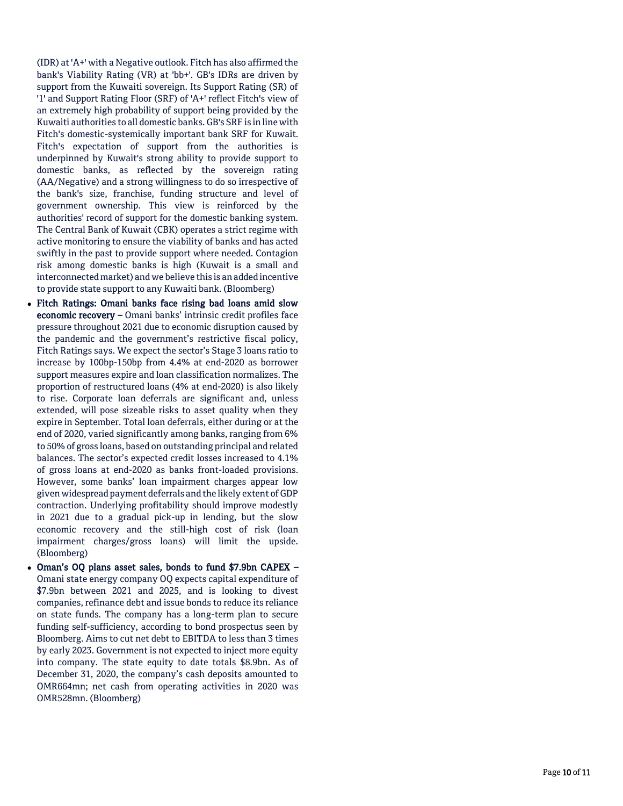(IDR) at 'A+' with a Negative outlook. Fitch has also affirmed the bank's Viability Rating (VR) at 'bb+'. GB's IDRs are driven by support from the Kuwaiti sovereign. Its Support Rating (SR) of '1' and Support Rating Floor (SRF) of 'A+' reflect Fitch's view of an extremely high probability of support being provided by the Kuwaiti authorities to all domestic banks. GB's SRF is in line with Fitch's domestic -systemically important bank SRF for Kuwait. Fitch's expectation of support from the authorities is underpinned by Kuwait's strong ability to provide support to domestic banks, as reflected by the sovereign rating (AA/Negative) and a strong willingness to do so irrespective of the bank's size, franchise, funding structure and level of government ownership. This view is reinforced by the authorities' record of support for the domestic banking system. The Central Bank of Kuwait (CBK) operates a strict regime with active monitoring to ensure the viability of banks and has acted swiftly in the past to provide support where needed. Contagion risk among domestic banks is high (Kuwait is a small and interconnected market) and we believe this is an added incentive to provide state support to any Kuwaiti bank. (Bloomberg)

- Fitch Ratings: Omani banks face rising bad loans amid slow economic recovery – Omani banks' intrinsic credit profiles face pressure throughout 2021 due to economic disruption caused by the pandemic and the government's restrictive fiscal policy, Fitch Ratings says. We expect the sector's Stage 3 loans ratio to increase by 100bp -150bp from 4.4% at end -2020 as borrower support measures expire and loan classification normalizes. The proportion of restructured loans (4% at end -2020) is also likely to rise. Corporate loan deferrals are significant and, unless extended, will pose sizeable risks to asset quality when they expire in September. Total loan deferrals, either during or at the end of 2020, varied significantly among banks, ranging from 6% to 50% of gross loans, based on outstanding principal and related balances. The sector's expected credit losses increased to 4.1% of gross loans at end -2020 as banks front -loaded provisions. However, some banks' loan impairment charges appear low given widespread payment deferrals and the likely extent of GDP contraction. Underlying profitability should improve modestly in 2021 due to a gradual pick -up in lending, but the slow economic recovery and the still -high cost of risk (loan impairment charges/gross loans) will limit the upside. (Bloomberg)
- Oman's OQ plans asset sales, bonds to fund \$7.9bn CAPEX Omani state energy company OQ expects capital expenditure of \$7.9bn between 2021 and 2025, and is looking to divest companies, refinance debt and issue bonds to reduce its reliance on state funds. The company has a long -term plan to secure funding self-sufficiency, according to bond prospectus seen by Bloomberg. Aims to cut net debt to EBITDA to less than 3 times by early 2023. Government is not expected to inject more equity into company. The state equity to date totals \$8.9bn. As of December 31, 2020, the company's cash deposits amounted to OMR664mn; net cash from operating activities in 2020 was OMR528mn. (Bloomberg)